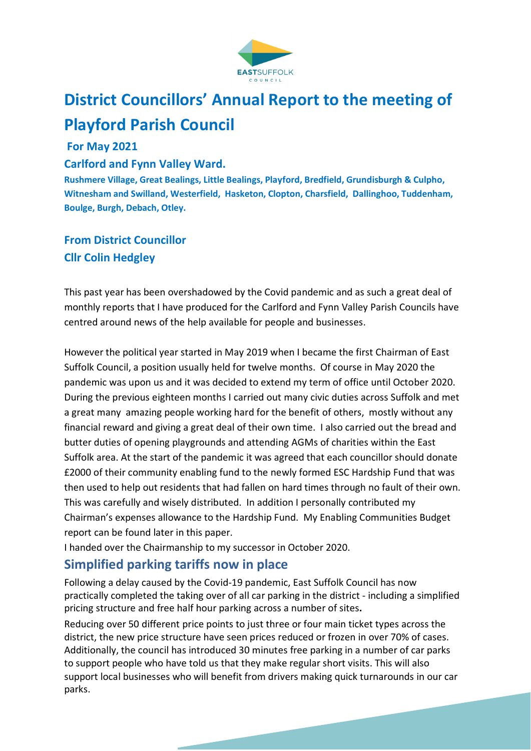

# **District Councillors' Annual Report to the meeting of Playford Parish Council**

#### **For May 2021**

#### **Carlford and Fynn Valley Ward.**

**Rushmere Village, Great Bealings, Little Bealings, Playford, Bredfield, Grundisburgh & Culpho, Witnesham and Swilland, Westerfield, Hasketon, Clopton, Charsfield, Dallinghoo, Tuddenham, Boulge, Burgh, Debach, Otley.** 

### **From District Councillor Cllr Colin Hedgley**

This past year has been overshadowed by the Covid pandemic and as such a great deal of monthly reports that I have produced for the Carlford and Fynn Valley Parish Councils have centred around news of the help available for people and businesses.

However the political year started in May 2019 when I became the first Chairman of East Suffolk Council, a position usually held for twelve months. Of course in May 2020 the pandemic was upon us and it was decided to extend my term of office until October 2020. During the previous eighteen months I carried out many civic duties across Suffolk and met a great many amazing people working hard for the benefit of others, mostly without any financial reward and giving a great deal of their own time. I also carried out the bread and butter duties of opening playgrounds and attending AGMs of charities within the East Suffolk area. At the start of the pandemic it was agreed that each councillor should donate £2000 of their community enabling fund to the newly formed ESC Hardship Fund that was then used to help out residents that had fallen on hard times through no fault of their own. This was carefully and wisely distributed. In addition I personally contributed my Chairman's expenses allowance to the Hardship Fund. My Enabling Communities Budget report can be found later in this paper.

I handed over the Chairmanship to my successor in October 2020.

### **Simplified parking tariffs now in place**

Following a delay caused by the Covid-19 pandemic, East Suffolk Council has now practically completed the taking over of all car parking in the district - including a simplified pricing structure and free half hour parking across a number of sites**.** 

Reducing over 50 different price points to just three or four main ticket types across the district, the new price structure have seen prices reduced or frozen in over 70% of cases. Additionally, the council has introduced 30 minutes free parking in a number of car parks to support people who have told us that they make regular short visits. This will also support local businesses who will benefit from drivers making quick turnarounds in our car parks.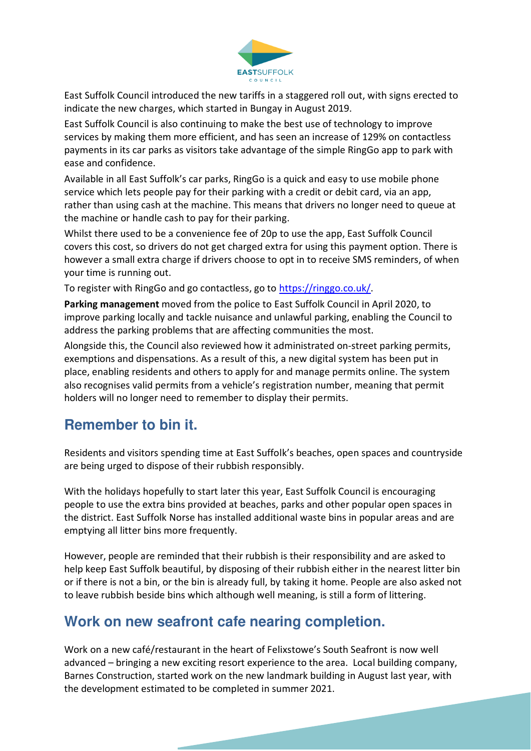

East Suffolk Council introduced the new tariffs in a staggered roll out, with signs erected to indicate the new charges, which started in Bungay in August 2019.

East Suffolk Council is also continuing to make the best use of technology to improve services by making them more efficient, and has seen an increase of 129% on contactless payments in its car parks as visitors take advantage of the simple RingGo app to park with ease and confidence.

Available in all East Suffolk's car parks, RingGo is a quick and easy to use mobile phone service which lets people pay for their parking with a credit or debit card, via an app, rather than using cash at the machine. This means that drivers no longer need to queue at the machine or handle cash to pay for their parking.

Whilst there used to be a convenience fee of 20p to use the app, East Suffolk Council covers this cost, so drivers do not get charged extra for using this payment option. There is however a small extra charge if drivers choose to opt in to receive SMS reminders, of when your time is running out.

To register with RingGo and go contactless, go to https://ringgo.co.uk/.

**Parking management** moved from the police to East Suffolk Council in April 2020, to improve parking locally and tackle nuisance and unlawful parking, enabling the Council to address the parking problems that are affecting communities the most.

Alongside this, the Council also reviewed how it administrated on-street parking permits, exemptions and dispensations. As a result of this, a new digital system has been put in place, enabling residents and others to apply for and manage permits online. The system also recognises valid permits from a vehicle's registration number, meaning that permit holders will no longer need to remember to display their permits.

### **Remember to bin it.**

Residents and visitors spending time at East Suffolk's beaches, open spaces and countryside are being urged to dispose of their rubbish responsibly.

With the holidays hopefully to start later this year, East Suffolk Council is encouraging people to use the extra bins provided at beaches, parks and other popular open spaces in the district. East Suffolk Norse has installed additional waste bins in popular areas and are emptying all litter bins more frequently.

However, people are reminded that their rubbish is their responsibility and are asked to help keep East Suffolk beautiful, by disposing of their rubbish either in the nearest litter bin or if there is not a bin, or the bin is already full, by taking it home. People are also asked not to leave rubbish beside bins which although well meaning, is still a form of littering.

### **Work on new seafront cafe nearing completion.**

Work on a new café/restaurant in the heart of Felixstowe's South Seafront is now well advanced – bringing a new exciting resort experience to the area. Local building company, Barnes Construction, started work on the new landmark building in August last year, with the development estimated to be completed in summer 2021.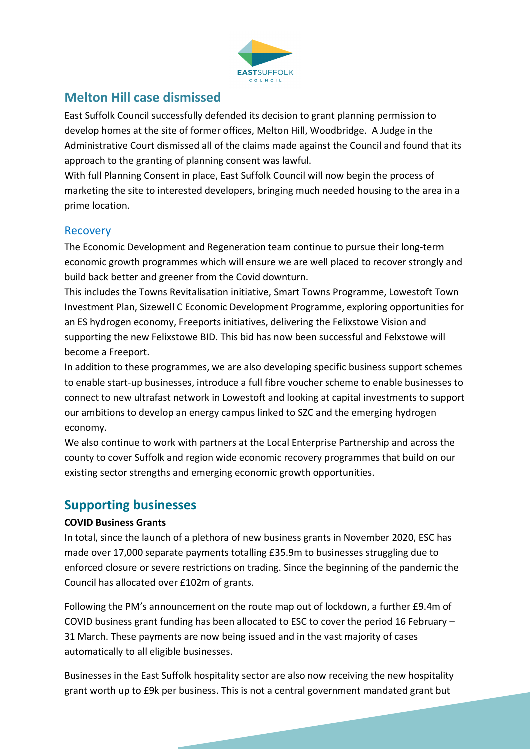

### **Melton Hill case dismissed**

East Suffolk Council successfully defended its decision to grant planning permission to develop homes at the site of former offices, Melton Hill, Woodbridge. A Judge in the Administrative Court dismissed all of the claims made against the Council and found that its approach to the granting of planning consent was lawful.

With full Planning Consent in place, East Suffolk Council will now begin the process of marketing the site to interested developers, bringing much needed housing to the area in a prime location.

#### Recovery

The Economic Development and Regeneration team continue to pursue their long-term economic growth programmes which will ensure we are well placed to recover strongly and build back better and greener from the Covid downturn.

This includes the Towns Revitalisation initiative, Smart Towns Programme, Lowestoft Town Investment Plan, Sizewell C Economic Development Programme, exploring opportunities for an ES hydrogen economy, Freeports initiatives, delivering the Felixstowe Vision and supporting the new Felixstowe BID. This bid has now been successful and Felxstowe will become a Freeport.

In addition to these programmes, we are also developing specific business support schemes to enable start-up businesses, introduce a full fibre voucher scheme to enable businesses to connect to new ultrafast network in Lowestoft and looking at capital investments to support our ambitions to develop an energy campus linked to SZC and the emerging hydrogen economy.

We also continue to work with partners at the Local Enterprise Partnership and across the county to cover Suffolk and region wide economic recovery programmes that build on our existing sector strengths and emerging economic growth opportunities.

### **Supporting businesses**

#### **COVID Business Grants**

In total, since the launch of a plethora of new business grants in November 2020, ESC has made over 17,000 separate payments totalling £35.9m to businesses struggling due to enforced closure or severe restrictions on trading. Since the beginning of the pandemic the Council has allocated over £102m of grants.

Following the PM's announcement on the route map out of lockdown, a further £9.4m of COVID business grant funding has been allocated to ESC to cover the period 16 February – 31 March. These payments are now being issued and in the vast majority of cases automatically to all eligible businesses.

Businesses in the East Suffolk hospitality sector are also now receiving the new hospitality grant worth up to £9k per business. This is not a central government mandated grant but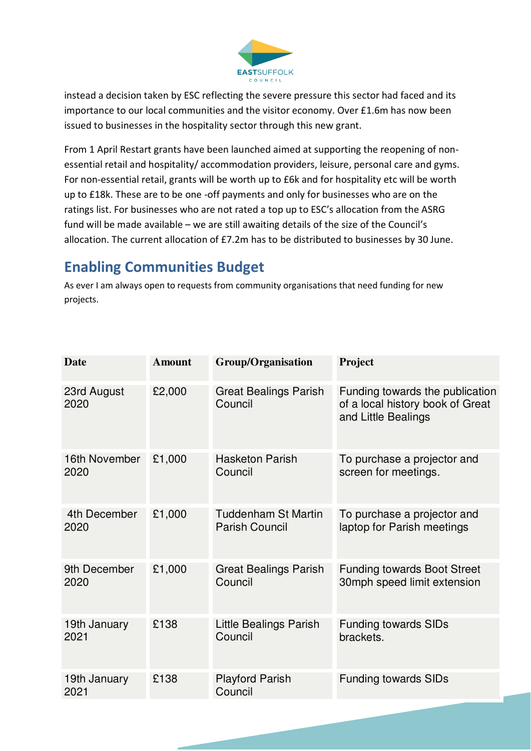

instead a decision taken by ESC reflecting the severe pressure this sector had faced and its importance to our local communities and the visitor economy. Over £1.6m has now been issued to businesses in the hospitality sector through this new grant.

From 1 April Restart grants have been launched aimed at supporting the reopening of nonessential retail and hospitality/ accommodation providers, leisure, personal care and gyms. For non-essential retail, grants will be worth up to £6k and for hospitality etc will be worth up to £18k. These are to be one -off payments and only for businesses who are on the ratings list. For businesses who are not rated a top up to ESC's allocation from the ASRG fund will be made available – we are still awaiting details of the size of the Council's allocation. The current allocation of £7.2m has to be distributed to businesses by 30 June.

# **Enabling Communities Budget**

As ever I am always open to requests from community organisations that need funding for new projects.

| <b>Date</b>          | <b>Amount</b> | <b>Group/Organisation</b>               | Project                                                                                    |
|----------------------|---------------|-----------------------------------------|--------------------------------------------------------------------------------------------|
| 23rd August<br>2020  | £2,000        | <b>Great Bealings Parish</b><br>Council | Funding towards the publication<br>of a local history book of Great<br>and Little Bealings |
| 16th November        | £1,000        | <b>Hasketon Parish</b>                  | To purchase a projector and                                                                |
| 2020                 |               | Council                                 | screen for meetings.                                                                       |
| 4th December         | £1,000        | <b>Tuddenham St Martin</b>              | To purchase a projector and                                                                |
| 2020                 |               | <b>Parish Council</b>                   | laptop for Parish meetings                                                                 |
| 9th December         | £1,000        | <b>Great Bealings Parish</b>            | <b>Funding towards Boot Street</b>                                                         |
| 2020                 |               | Council                                 | 30mph speed limit extension                                                                |
| 19th January         | £138          | Little Bealings Parish                  | <b>Funding towards SIDs</b>                                                                |
| 2021                 |               | Council                                 | brackets.                                                                                  |
| 19th January<br>2021 | £138          | <b>Playford Parish</b><br>Council       | <b>Funding towards SIDs</b>                                                                |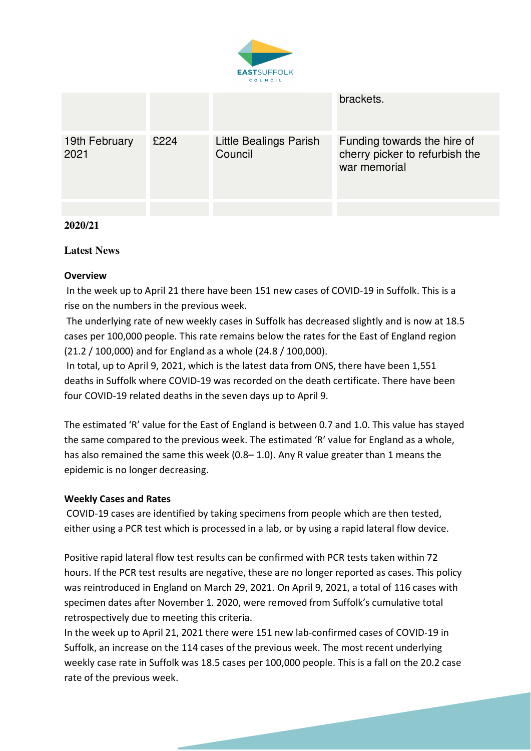

|                       |      |                                   | brackets.                                                                     |
|-----------------------|------|-----------------------------------|-------------------------------------------------------------------------------|
| 19th February<br>2021 | £224 | Little Bealings Parish<br>Council | Funding towards the hire of<br>cherry picker to refurbish the<br>war memorial |
|                       |      |                                   |                                                                               |

#### **2020/21**

#### **Latest News**

#### **Overview**

 In the week up to April 21 there have been 151 new cases of COVID-19 in Suffolk. This is a rise on the numbers in the previous week.

 The underlying rate of new weekly cases in Suffolk has decreased slightly and is now at 18.5 cases per 100,000 people. This rate remains below the rates for the East of England region (21.2 / 100,000) and for England as a whole (24.8 / 100,000).

 In total, up to April 9, 2021, which is the latest data from ONS, there have been 1,551 deaths in Suffolk where COVID-19 was recorded on the death certificate. There have been four COVID-19 related deaths in the seven days up to April 9.

The estimated 'R' value for the East of England is between 0.7 and 1.0. This value has stayed the same compared to the previous week. The estimated 'R' value for England as a whole, has also remained the same this week (0.8– 1.0). Any R value greater than 1 means the epidemic is no longer decreasing.

#### **Weekly Cases and Rates**

 COVID-19 cases are identified by taking specimens from people which are then tested, either using a PCR test which is processed in a lab, or by using a rapid lateral flow device.

Positive rapid lateral flow test results can be confirmed with PCR tests taken within 72 hours. If the PCR test results are negative, these are no longer reported as cases. This policy was reintroduced in England on March 29, 2021. On April 9, 2021, a total of 116 cases with specimen dates after November 1. 2020, were removed from Suffolk's cumulative total retrospectively due to meeting this criteria.

In the week up to April 21, 2021 there were 151 new lab-confirmed cases of COVID-19 in Suffolk, an increase on the 114 cases of the previous week. The most recent underlying weekly case rate in Suffolk was 18.5 cases per 100,000 people. This is a fall on the 20.2 case rate of the previous week.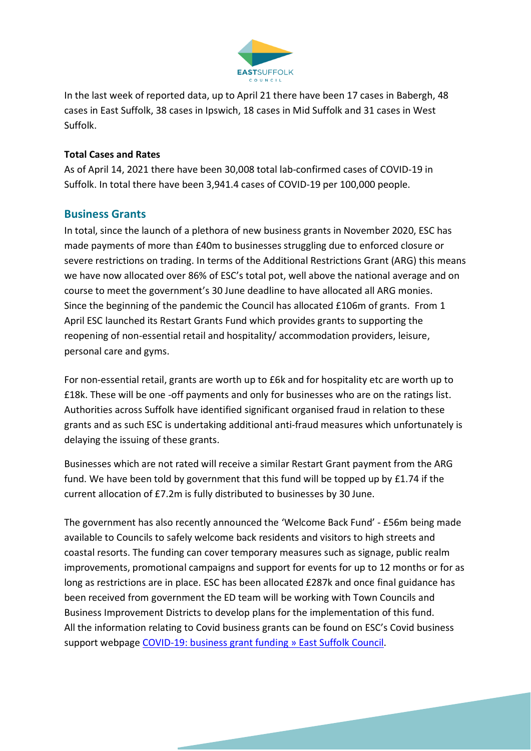

In the last week of reported data, up to April 21 there have been 17 cases in Babergh, 48 cases in East Suffolk, 38 cases in Ipswich, 18 cases in Mid Suffolk and 31 cases in West Suffolk.

#### **Total Cases and Rates**

As of April 14, 2021 there have been 30,008 total lab-confirmed cases of COVID-19 in Suffolk. In total there have been 3,941.4 cases of COVID-19 per 100,000 people.

#### **Business Grants**

In total, since the launch of a plethora of new business grants in November 2020, ESC has made payments of more than £40m to businesses struggling due to enforced closure or severe restrictions on trading. In terms of the Additional Restrictions Grant (ARG) this means we have now allocated over 86% of ESC's total pot, well above the national average and on course to meet the government's 30 June deadline to have allocated all ARG monies. Since the beginning of the pandemic the Council has allocated £106m of grants. From 1 April ESC launched its Restart Grants Fund which provides grants to supporting the reopening of non-essential retail and hospitality/ accommodation providers, leisure, personal care and gyms.

For non-essential retail, grants are worth up to £6k and for hospitality etc are worth up to £18k. These will be one -off payments and only for businesses who are on the ratings list. Authorities across Suffolk have identified significant organised fraud in relation to these grants and as such ESC is undertaking additional anti-fraud measures which unfortunately is delaying the issuing of these grants.

Businesses which are not rated will receive a similar Restart Grant payment from the ARG fund. We have been told by government that this fund will be topped up by £1.74 if the current allocation of £7.2m is fully distributed to businesses by 30 June.

The government has also recently announced the 'Welcome Back Fund' - £56m being made available to Councils to safely welcome back residents and visitors to high streets and coastal resorts. The funding can cover temporary measures such as signage, public realm improvements, promotional campaigns and support for events for up to 12 months or for as long as restrictions are in place. ESC has been allocated £287k and once final guidance has been received from government the ED team will be working with Town Councils and Business Improvement Districts to develop plans for the implementation of this fund. All the information relating to Covid business grants can be found on ESC's Covid business support webpage COVID-19: business grant funding » East Suffolk Council.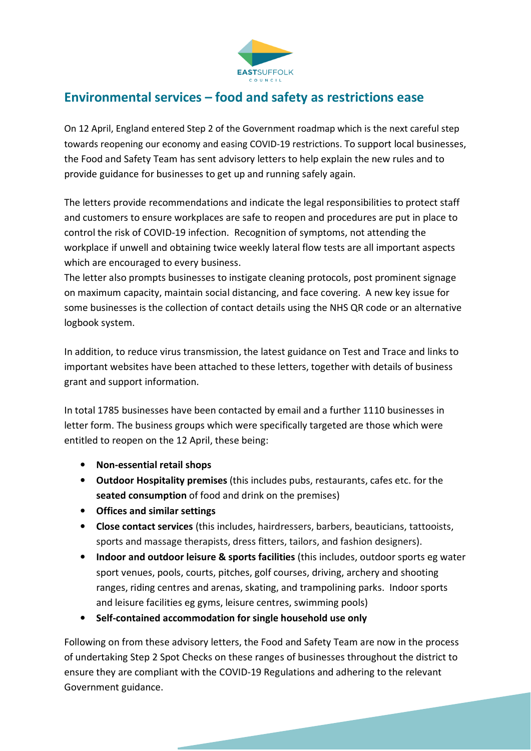

### **Environmental services – food and safety as restrictions ease**

On 12 April, England entered Step 2 of the Government roadmap which is the next careful step towards reopening our economy and easing COVID-19 restrictions. To support local businesses, the Food and Safety Team has sent advisory letters to help explain the new rules and to provide guidance for businesses to get up and running safely again.

The letters provide recommendations and indicate the legal responsibilities to protect staff and customers to ensure workplaces are safe to reopen and procedures are put in place to control the risk of COVID-19 infection. Recognition of symptoms, not attending the workplace if unwell and obtaining twice weekly lateral flow tests are all important aspects which are encouraged to every business.

The letter also prompts businesses to instigate cleaning protocols, post prominent signage on maximum capacity, maintain social distancing, and face covering. A new key issue for some businesses is the collection of contact details using the NHS QR code or an alternative logbook system.

In addition, to reduce virus transmission, the latest guidance on Test and Trace and links to important websites have been attached to these letters, together with details of business grant and support information.

In total 1785 businesses have been contacted by email and a further 1110 businesses in letter form. The business groups which were specifically targeted are those which were entitled to reopen on the 12 April, these being:

- **Non-essential retail shops**
- **Outdoor Hospitality premises** (this includes pubs, restaurants, cafes etc. for the **seated consumption** of food and drink on the premises)
- **Offices and similar settings**
- **Close contact services** (this includes, hairdressers, barbers, beauticians, tattooists, sports and massage therapists, dress fitters, tailors, and fashion designers).
- **Indoor and outdoor leisure & sports facilities** (this includes, outdoor sports eg water sport venues, pools, courts, pitches, golf courses, driving, archery and shooting ranges, riding centres and arenas, skating, and trampolining parks. Indoor sports and leisure facilities eg gyms, leisure centres, swimming pools)
- **Self-contained accommodation for single household use only**

Following on from these advisory letters, the Food and Safety Team are now in the process of undertaking Step 2 Spot Checks on these ranges of businesses throughout the district to ensure they are compliant with the COVID-19 Regulations and adhering to the relevant Government guidance.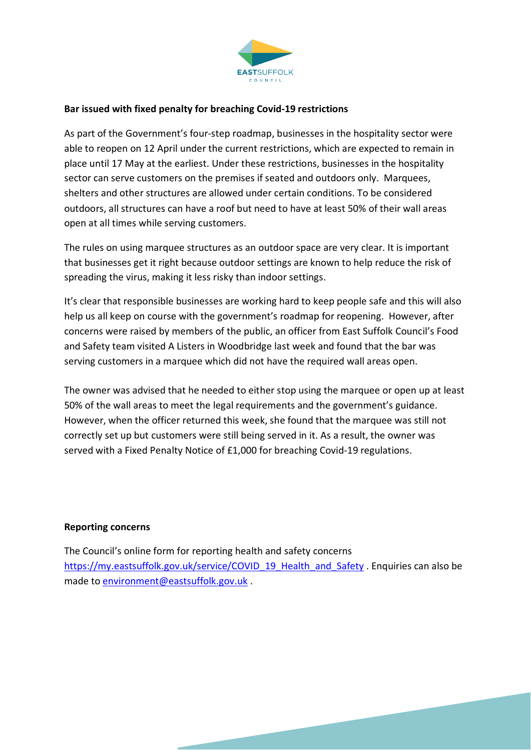

#### **Bar issued with fixed penalty for breaching Covid-19 restrictions**

As part of the Government's four-step roadmap, businesses in the hospitality sector were able to reopen on 12 April under the current restrictions, which are expected to remain in place until 17 May at the earliest. Under these restrictions, businesses in the hospitality sector can serve customers on the premises if seated and outdoors only. Marquees, shelters and other structures are allowed under certain conditions. To be considered outdoors, all structures can have a roof but need to have at least 50% of their wall areas open at all times while serving customers.

The rules on using marquee structures as an outdoor space are very clear. It is important that businesses get it right because outdoor settings are known to help reduce the risk of spreading the virus, making it less risky than indoor settings.

It's clear that responsible businesses are working hard to keep people safe and this will also help us all keep on course with the government's roadmap for reopening. However, after concerns were raised by members of the public, an officer from East Suffolk Council's Food and Safety team visited A Listers in Woodbridge last week and found that the bar was serving customers in a marquee which did not have the required wall areas open.

The owner was advised that he needed to either stop using the marquee or open up at least 50% of the wall areas to meet the legal requirements and the government's guidance. However, when the officer returned this week, she found that the marquee was still not correctly set up but customers were still being served in it. As a result, the owner was served with a Fixed Penalty Notice of £1,000 for breaching Covid-19 regulations.

#### **Reporting concerns**

The Council's online form for reporting health and safety concerns https://my.eastsuffolk.gov.uk/service/COVID\_19\_Health\_and\_Safety . Enquiries can also be made to environment@eastsuffolk.gov.uk .